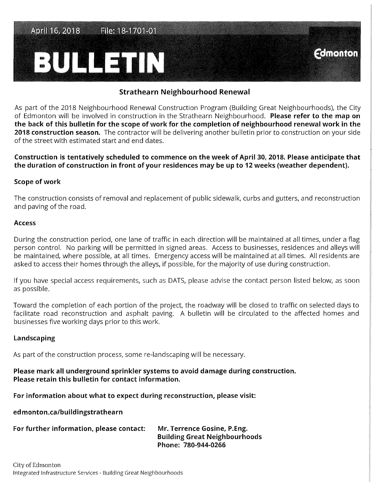File: 18-1701-01 April 16, 2018

# BUNGETIN

## **Strathearn Neighbourhood Renewal**

**Comonton** 

As part of the 2018 Neighbourhood Renewal Construction Program (Building Great Neighbourhoods), the City of Edmonton will be involved in construction in the Strathearn Neighbourhood. **Please refer to the map on the back of this bulletin for the scope of work for the completion of neighbourhood renewal work in the 2018 construction season.** The contractor will be delivering another bulletin prior to construction on your side of the street with estimated start and end dates.

**Construction is tentatively scheduled to commence on the week of April 30, 2018. Please anticipate that the duration of construction in front of your residences may be up to 12 weeks (weather dependent).** 

#### **Scope of work**

The construction consists of removal and replacement of public sidewalk, curbs and gutters, and reconstruction and paving of the road.

#### **Access**

During the construction period, one lane of traffic in each direction will be maintained at all times, under a flag person control. No parking will be permitted in signed areas. Access to businesses, residences and alleys will be maintained, where possible, at all times. Emergency access will be maintained at all times. All residents are asked to access their homes through the alleys, if possible, for the majority of use during construction.

If you have special access requirements, such as DATS, please advise the contact person listed below, as soon as possible.

Toward the completion of each portion of the project, the roadway will be closed to traffic on selected days to facilitate road reconstruction and asphalt paving. A bulletin will be circulated to the affected homes and businesses five working days prior to this work.

### **Landscaping**

As part of the construction process, some re-landscaping will be necessary.

## **Please mark all underground sprinkler systems to avoid damage during construction. Please retain this bulletin for contact information.**

**For information about what to expect during reconstruction, please visit:** 

**edmonton.ca/buildingstrathearn** 

| For further information, please contact: | Mr. Terrence Gosine, P.Eng.          |
|------------------------------------------|--------------------------------------|
|                                          | <b>Building Great Neighbourhoods</b> |
|                                          | Phone: 780-944-0266                  |